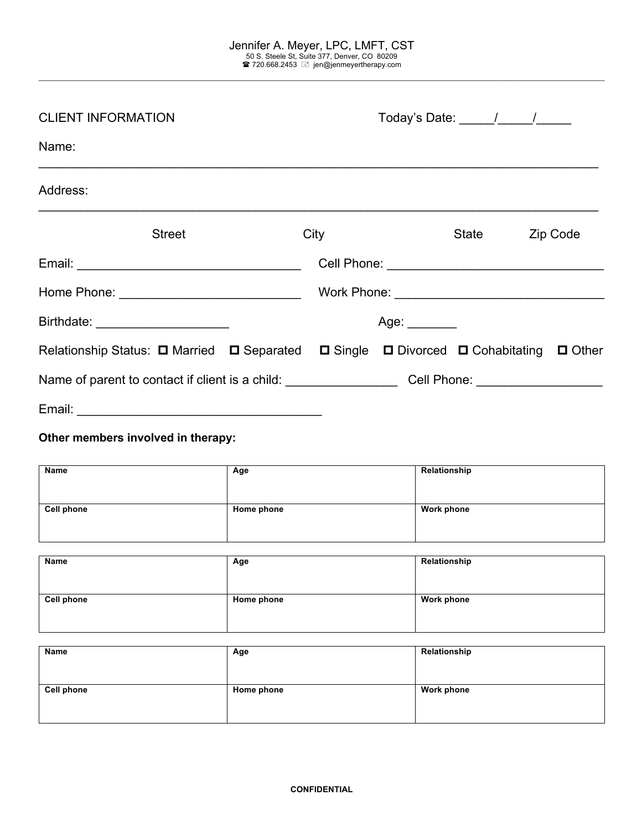$\mathcal{L}_\mathcal{L} = \mathcal{L}_\mathcal{L} = \mathcal{L}_\mathcal{L} = \mathcal{L}_\mathcal{L} = \mathcal{L}_\mathcal{L} = \mathcal{L}_\mathcal{L} = \mathcal{L}_\mathcal{L} = \mathcal{L}_\mathcal{L} = \mathcal{L}_\mathcal{L} = \mathcal{L}_\mathcal{L} = \mathcal{L}_\mathcal{L} = \mathcal{L}_\mathcal{L} = \mathcal{L}_\mathcal{L} = \mathcal{L}_\mathcal{L} = \mathcal{L}_\mathcal{L} = \mathcal{L}_\mathcal{L} = \mathcal{L}_\mathcal{L}$ 

| <b>CLIENT INFORMATION</b><br>Name:                                                                             |  | Today's Date: $\frac{1}{\sqrt{1-\frac{1}{2}}}\frac{1}{\sqrt{1-\frac{1}{2}}}\frac{1}{\sqrt{1-\frac{1}{2}}}\frac{1}{\sqrt{1-\frac{1}{2}}}\frac{1}{\sqrt{1-\frac{1}{2}}}\frac{1}{\sqrt{1-\frac{1}{2}}}\frac{1}{\sqrt{1-\frac{1}{2}}}\frac{1}{\sqrt{1-\frac{1}{2}}}\frac{1}{\sqrt{1-\frac{1}{2}}}\frac{1}{\sqrt{1-\frac{1}{2}}}\frac{1}{\sqrt{1-\frac{1}{2}}}\frac{1}{\sqrt{1-\frac{1}{2}}}\frac{1}{\sqrt{1-\frac{1}{$ |               |       |  |          |
|----------------------------------------------------------------------------------------------------------------|--|--------------------------------------------------------------------------------------------------------------------------------------------------------------------------------------------------------------------------------------------------------------------------------------------------------------------------------------------------------------------------------------------------------------------|---------------|-------|--|----------|
|                                                                                                                |  |                                                                                                                                                                                                                                                                                                                                                                                                                    |               |       |  |          |
| Address:                                                                                                       |  |                                                                                                                                                                                                                                                                                                                                                                                                                    |               |       |  |          |
| <b>Street</b>                                                                                                  |  | City                                                                                                                                                                                                                                                                                                                                                                                                               |               | State |  | Zip Code |
|                                                                                                                |  |                                                                                                                                                                                                                                                                                                                                                                                                                    |               |       |  |          |
|                                                                                                                |  |                                                                                                                                                                                                                                                                                                                                                                                                                    |               |       |  |          |
| Birthdate: _________________________                                                                           |  |                                                                                                                                                                                                                                                                                                                                                                                                                    | Age: ________ |       |  |          |
| Relationship Status: □ Married □ Separated □ Single □ Divorced □ Cohabitating □ Other                          |  |                                                                                                                                                                                                                                                                                                                                                                                                                    |               |       |  |          |
| Name of parent to contact if client is a child: _________________________Cell Phone: _________________________ |  |                                                                                                                                                                                                                                                                                                                                                                                                                    |               |       |  |          |
| Email:                                                                                                         |  |                                                                                                                                                                                                                                                                                                                                                                                                                    |               |       |  |          |

**Other members involved in therapy:**

| <b>Name</b>       | Age        | Relationship      |
|-------------------|------------|-------------------|
| <b>Cell phone</b> | Home phone | <b>Work phone</b> |

| Name       | Age        | Relationship      |
|------------|------------|-------------------|
| Cell phone | Home phone | <b>Work phone</b> |

| Name              | Age        | Relationship      |
|-------------------|------------|-------------------|
| <b>Cell phone</b> | Home phone | <b>Work phone</b> |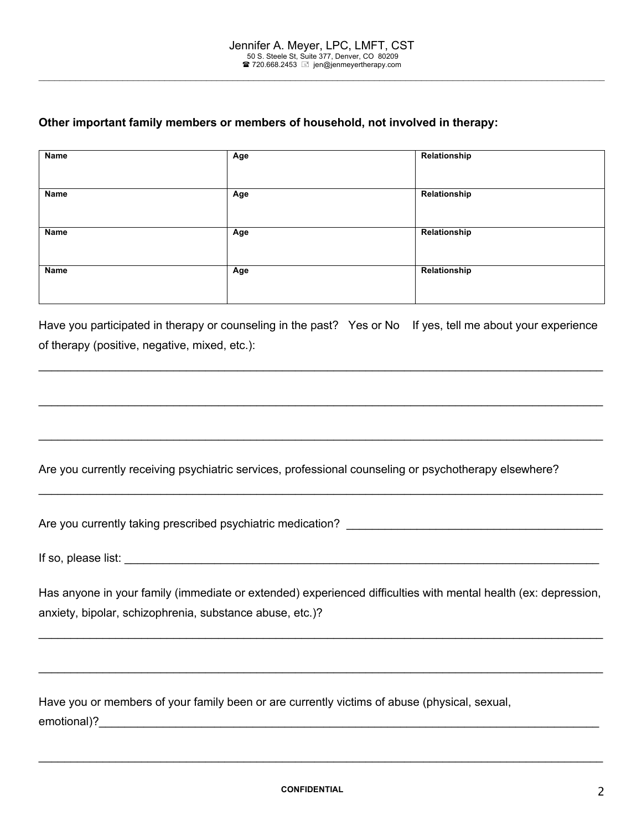$\mathcal{L}_\mathcal{L} = \mathcal{L}_\mathcal{L} = \mathcal{L}_\mathcal{L} = \mathcal{L}_\mathcal{L} = \mathcal{L}_\mathcal{L} = \mathcal{L}_\mathcal{L} = \mathcal{L}_\mathcal{L} = \mathcal{L}_\mathcal{L} = \mathcal{L}_\mathcal{L} = \mathcal{L}_\mathcal{L} = \mathcal{L}_\mathcal{L} = \mathcal{L}_\mathcal{L} = \mathcal{L}_\mathcal{L} = \mathcal{L}_\mathcal{L} = \mathcal{L}_\mathcal{L} = \mathcal{L}_\mathcal{L} = \mathcal{L}_\mathcal{L}$ 

# **Other important family members or members of household, not involved in therapy:**

| Name | Age | Relationship |
|------|-----|--------------|
|      |     |              |
| Name | Age | Relationship |
|      |     |              |
| Name | Age | Relationship |
|      |     |              |
| Name | Age | Relationship |
|      |     |              |

Have you participated in therapy or counseling in the past? Yes or No If yes, tell me about your experience of therapy (positive, negative, mixed, etc.):

 $\_$ 

 $\_$ 

 $\_$ 

Are you currently receiving psychiatric services, professional counseling or psychotherapy elsewhere?

Are you currently taking prescribed psychiatric medication?

If so, please list:  $\Box$ 

Has anyone in your family (immediate or extended) experienced difficulties with mental health (ex: depression, anxiety, bipolar, schizophrenia, substance abuse, etc.)?

 $\_$ 

 $\_$ 

Have you or members of your family been or are currently victims of abuse (physical, sexual, emotional)?

 $\_$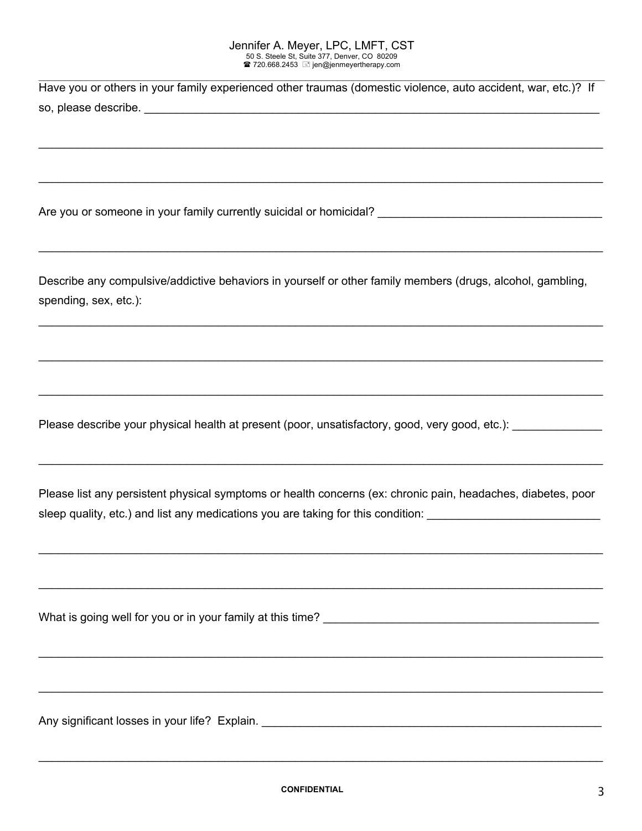| Have you or others in your family experienced other traumas (domestic violence, auto accident, war, etc.)? If |  |  |  |
|---------------------------------------------------------------------------------------------------------------|--|--|--|
| so, please describe.                                                                                          |  |  |  |

 $\_$ 

 $\_$ 

 $\_$  , and the set of the set of the set of the set of the set of the set of the set of the set of the set of the set of the set of the set of the set of the set of the set of the set of the set of the set of the set of th

Are you or someone in your family currently suicidal or homicidal?

Describe any compulsive/addictive behaviors in yourself or other family members (drugs, alcohol, gambling, spending, sex, etc.):

 $\_$ 

 $\_$ 

 $\_$ 

Please describe your physical health at present (poor, unsatisfactory, good, very good, etc.):

Please list any persistent physical symptoms or health concerns (ex: chronic pain, headaches, diabetes, poor sleep quality, etc.) and list any medications you are taking for this condition: **with all any medical** 

 $\_$ 

 $\_$ 

 $\_$ 

 $\_$ 

 $\_$ 

What is going well for you or in your family at this time?

Any significant losses in your life? Explain. \_\_\_\_\_\_\_\_\_\_\_\_\_\_\_\_\_\_\_\_\_\_\_\_\_\_\_\_\_\_\_\_\_\_\_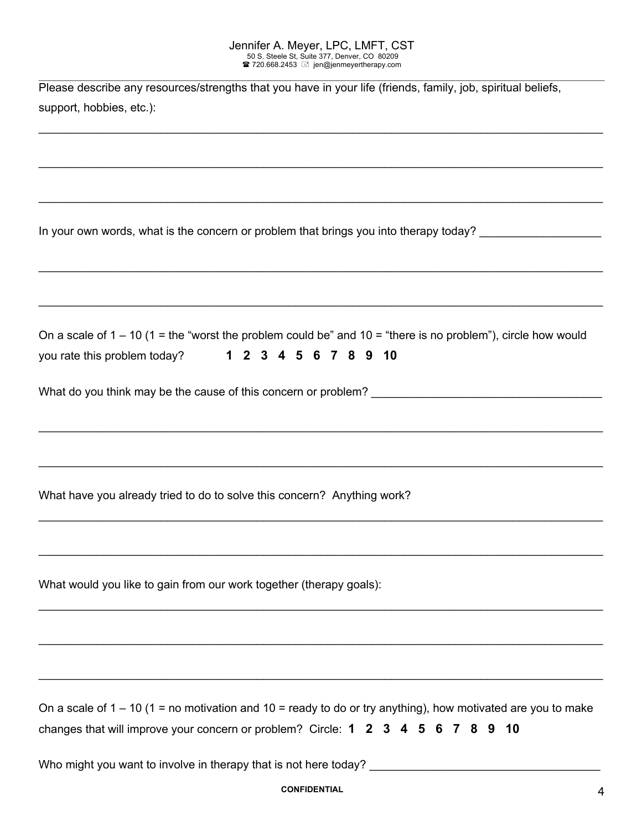| Please describe any resources/strengths that you have in your life (friends, family, job, spiritual beliefs,<br>support, hobbies, etc.):                                                          |
|---------------------------------------------------------------------------------------------------------------------------------------------------------------------------------------------------|
|                                                                                                                                                                                                   |
| In your own words, what is the concern or problem that brings you into therapy today? ____________________                                                                                        |
|                                                                                                                                                                                                   |
| On a scale of $1 - 10$ ( $1 =$ the "worst the problem could be" and $10 =$ "there is no problem"), circle how would<br>you rate this problem today? 1 2 3 4 5 6 7 8 9 10                          |
|                                                                                                                                                                                                   |
| <u> 1989 - Johann Stoff, amerikansk politiker (d. 1989)</u>                                                                                                                                       |
| What have you already tried to do to solve this concern? Anything work?                                                                                                                           |
|                                                                                                                                                                                                   |
| What would you like to gain from our work together (therapy goals):                                                                                                                               |
|                                                                                                                                                                                                   |
| On a scale of $1 - 10$ (1 = no motivation and 10 = ready to do or try anything), how motivated are you to make<br>changes that will improve your concern or problem? Circle: 1 2 3 4 5 6 7 8 9 10 |
|                                                                                                                                                                                                   |